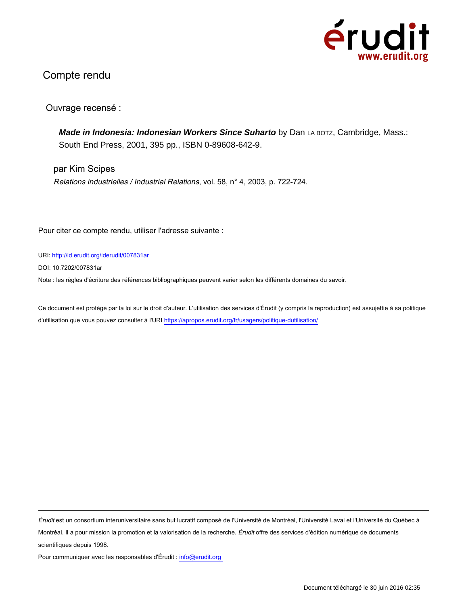

## Compte rendu

Ouvrage recensé :

**Made in Indonesia: Indonesian Workers Since Suharto** by Dan LA BOTZ, Cambridge, Mass.: South End Press, 2001, 395 pp., ISBN 0-89608-642-9.

par Kim Scipes Relations industrielles / Industrial Relations, vol. 58, n° 4, 2003, p. 722-724.

Pour citer ce compte rendu, utiliser l'adresse suivante :

URI: http://id.erudit.org/iderudit/007831ar

DOI: 10.7202/007831ar

Note : les règles d'écriture des références bibliographiques peuvent varier selon les différents domaines du savoir.

Ce document est protégé par la loi sur le droit d'auteur. L'utilisation des services d'Érudit (y compris la reproduction) est assujettie à sa politique d'utilisation que vous pouvez consulter à l'URI https://apropos.erudit.org/fr/usagers/politique-dutilisation/

Érudit est un consortium interuniversitaire sans but lucratif composé de l'Université de Montréal, l'Université Laval et l'Université du Québec à Montréal. Il a pour mission la promotion et la valorisation de la recherche. Érudit offre des services d'édition numérique de documents scientifiques depuis 1998.

Pour communiquer avec les responsables d'Érudit : info@erudit.org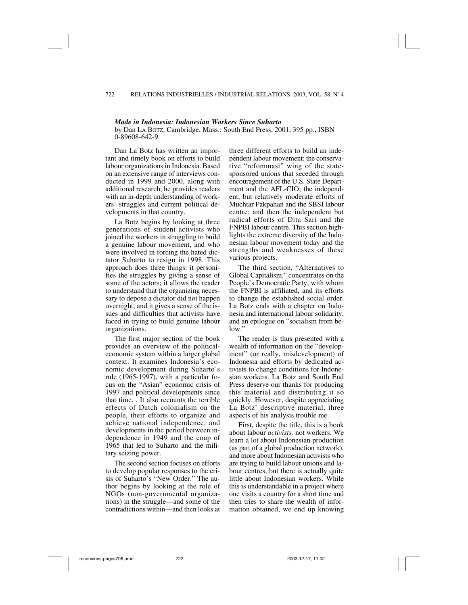*Made in Indonesia: Indonesian Workers Since Suharto* by Dan LA BOTZ, Cambridge, Mass.: South End Press, 2001, 395 pp., ISBN 0-89608-642-9.

Dan La Botz has written an important and timely book on efforts to build labour organizations in Indonesia. Based on an extensive range of interviews conducted in 1999 and 2000, along with additional research, he provides readers with an in-depth understanding of workers' struggles and current political developments in that country.

La Botz begins by looking at three generations of student activists who joined the workers in struggling to build a genuine labour movement, and who were involved in forcing the hated dictator Suharto to resign in 1998. This approach does three things: it personifies the struggles by giving a sense of some of the actors; it allows the reader to understand that the organizing necessary to depose a dictator did not happen overnight, and it gives a sense of the issues and difficulties that activists have faced in trying to build genuine labour organizations.

The first major section of the book provides an overview of the politicaleconomic system within a larger global context. It examines Indonesia's economic development during Suharto's rule (1965-1997), with a particular focus on the "Asian" economic crisis of 1997 and political developments since that time. . It also recounts the terrible effects of Dutch colonialism on the people, their efforts to organize and achieve national independence, and developments in the period between independence in 1949 and the coup of 1965 that led to Suharto and the military seizing power.

The second section focuses on efforts to develop popular responses to the crisis of Suharto's "New Order." The author begins by looking at the role of NGOs (non-governmental organizations) in the struggle—and some of the contradictions within—and then looks at

three different efforts to build an independent labour movement: the conservative "refommasi" wing of the statesponsored unions that seceded through encouragement of the U.S. State Department and the AFL-CIO; the independent, but relatively moderate efforts of Muchtar Pakpahan and the SBSI labour centre; and then the independent but radical efforts of Dita Sari and the FNPBI labour centre. This section highlights the extreme diversity of the Indonesian labour movement today and the strengths and weaknesses of these various projects.

The third section, "Alternatives to Global Capitalism," concentrates on the People's Democratic Party, with whom the FNPBI is affiliated, and its efforts to change the established social order. La Botz ends with a chapter on Indonesia and international labour solidarity, and an epilogue on "socialism from below."

The reader is thus presented with a wealth of information on the "development" (or really, misdevelopment) of Indonesia and efforts by dedicated activists to change conditions for Indonesian workers. La Botz and South End Press deserve our thanks for producing this material and distributing it so quickly. However, despite appreciating La Botz' descriptive material, three aspects of his analysis trouble me.

First, despite the title, this is a book about labour *activists,* not workers. We learn a lot about Indonesian production (as part of a global production network), and more about Indonesian activists who are trying to build labour unions and labour centres, but there is actually quite little about Indonesian workers. While this is understandable in a project where one visits a country for a short time and then tries to share the wealth of information obtained, we end up knowing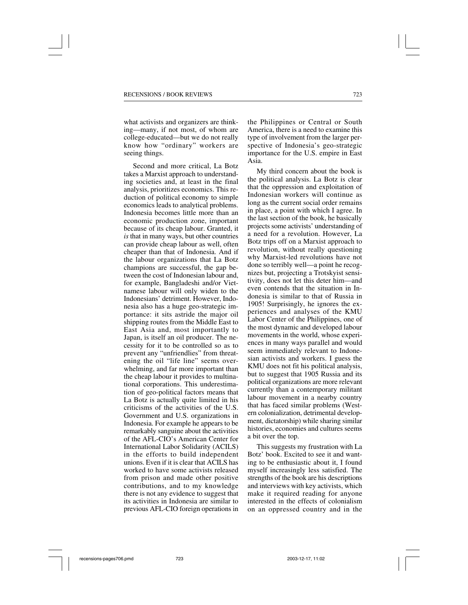what activists and organizers are thinking—many, if not most, of whom are college-educated—but we do not really know how "ordinary" workers are seeing things.

Second and more critical, La Botz takes a Marxist approach to understanding societies and, at least in the final analysis, prioritizes economics. This reduction of political economy to simple economics leads to analytical problems. Indonesia becomes little more than an economic production zone, important because of its cheap labour. Granted, it *is* that in many ways, but other countries can provide cheap labour as well, often cheaper than that of Indonesia. And if the labour organizations that La Botz champions are successful, the gap between the cost of Indonesian labour and, for example, Bangladeshi and/or Vietnamese labour will only widen to the Indonesians' detriment. However, Indonesia also has a huge geo-strategic importance: it sits astride the major oil shipping routes from the Middle East to East Asia and, most importantly to Japan, is itself an oil producer. The necessity for it to be controlled so as to prevent any "unfriendlies" from threatening the oil "life line" seems overwhelming, and far more important than the cheap labour it provides to multinational corporations. This underestimation of geo-political factors means that La Botz is actually quite limited in his criticisms of the activities of the U.S. Government and U.S. organizations in Indonesia. For example he appears to be remarkably sanguine about the activities of the AFL-CIO's American Center for International Labor Solidarity (ACILS) in the efforts to build independent unions. Even if it is clear that ACILS has worked to have some activists released from prison and made other positive contributions, and to my knowledge there is not any evidence to suggest that its activities in Indonesia are similar to previous AFL-CIO foreign operations in

the Philippines or Central or South America, there is a need to examine this type of involvement from the larger perspective of Indonesia's geo-strategic importance for the U.S. empire in East Asia.

My third concern about the book is the political analysis. La Botz is clear that the oppression and exploitation of Indonesian workers will continue as long as the current social order remains in place, a point with which I agree. In the last section of the book, he basically projects some activists' understanding of a need for a revolution. However, La Botz trips off on a Marxist approach to revolution, without really questioning why Marxist-led revolutions have not done so terribly well—a point he recognizes but, projecting a Trotskyist sensitivity, does not let this deter him—and even contends that the situation in Indonesia is similar to that of Russia in 1905! Surprisingly, he ignores the experiences and analyses of the KMU Labor Center of the Philippines, one of the most dynamic and developed labour movements in the world, whose experiences in many ways parallel and would seem immediately relevant to Indonesian activists and workers. I guess the KMU does not fit his political analysis, but to suggest that 1905 Russia and its political organizations are more relevant currently than a contemporary militant labour movement in a nearby country that has faced similar problems (Western colonialization, detrimental development, dictatorship) while sharing similar histories, economies and cultures seems a bit over the top.

This suggests my frustration with La Botz' book. Excited to see it and wanting to be enthusiastic about it, I found myself increasingly less satisfied. The strengths of the book are his descriptions and interviews with key activists, which make it required reading for anyone interested in the effects of colonialism on an oppressed country and in the